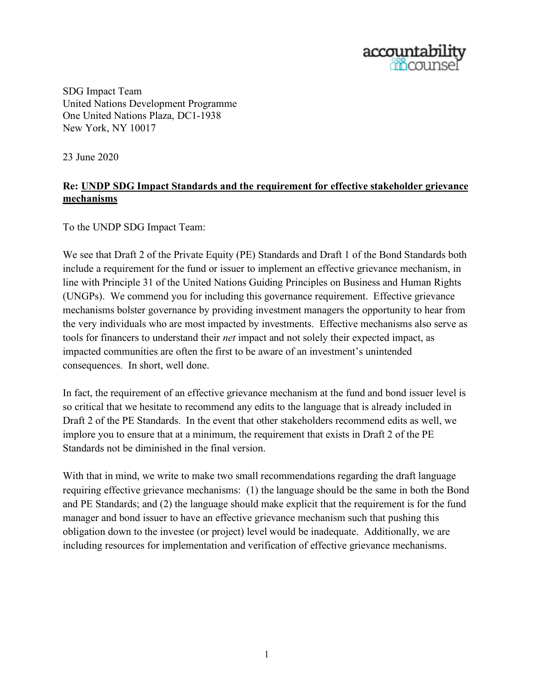

SDG Impact Team United Nations Development Programme One United Nations Plaza, DC1-1938 New York, NY 10017

23 June 2020

## **Re: UNDP SDG Impact Standards and the requirement for effective stakeholder grievance mechanisms**

To the UNDP SDG Impact Team:

We see that Draft 2 of the Private Equity (PE) Standards and Draft 1 of the Bond Standards both include a requirement for the fund or issuer to implement an effective grievance mechanism, in line with Principle 31 of the United Nations Guiding Principles on Business and Human Rights (UNGPs). We commend you for including this governance requirement. Effective grievance mechanisms bolster governance by providing investment managers the opportunity to hear from the very individuals who are most impacted by investments. Effective mechanisms also serve as tools for financers to understand their *net* impact and not solely their expected impact, as impacted communities are often the first to be aware of an investment's unintended consequences. In short, well done.

In fact, the requirement of an effective grievance mechanism at the fund and bond issuer level is so critical that we hesitate to recommend any edits to the language that is already included in Draft 2 of the PE Standards. In the event that other stakeholders recommend edits as well, we implore you to ensure that at a minimum, the requirement that exists in Draft 2 of the PE Standards not be diminished in the final version.

With that in mind, we write to make two small recommendations regarding the draft language requiring effective grievance mechanisms: (1) the language should be the same in both the Bond and PE Standards; and (2) the language should make explicit that the requirement is for the fund manager and bond issuer to have an effective grievance mechanism such that pushing this obligation down to the investee (or project) level would be inadequate. Additionally, we are including resources for implementation and verification of effective grievance mechanisms.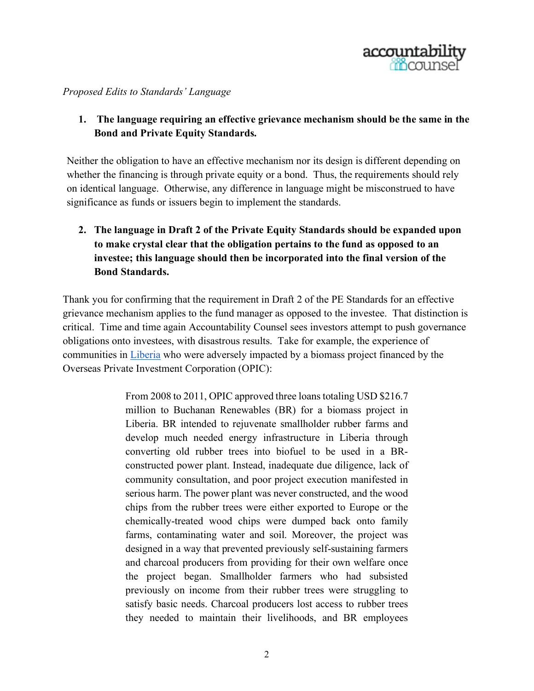

*Proposed Edits to Standards' Language*

**1. The language requiring an effective grievance mechanism should be the same in the Bond and Private Equity Standards.**

Neither the obligation to have an effective mechanism nor its design is different depending on whether the financing is through private equity or a bond. Thus, the requirements should rely on identical language. Otherwise, any difference in language might be misconstrued to have significance as funds or issuers begin to implement the standards.

**2. The language in Draft 2 of the Private Equity Standards should be expanded upon to make crystal clear that the obligation pertains to the fund as opposed to an investee; this language should then be incorporated into the final version of the Bond Standards.**

Thank you for confirming that the requirement in Draft 2 of the PE Standards for an effective grievance mechanism applies to the fund manager as opposed to the investee. That distinction is critical. Time and time again Accountability Counsel sees investors attempt to push governance obligations onto investees, with disastrous results. Take for example, the experience of communities in [Liberia](https://www.accountabilitycounsel.org/client-case/liberia-buchanan-renewable-energy/) who were adversely impacted by a biomass project financed by the Overseas Private Investment Corporation (OPIC):

> From 2008 to 2011, OPIC approved three loans totaling USD \$216.7 million to Buchanan Renewables (BR) for a biomass project in Liberia. BR intended to rejuvenate smallholder rubber farms and develop much needed energy infrastructure in Liberia through converting old rubber trees into biofuel to be used in a BRconstructed power plant. Instead, inadequate due diligence, lack of community consultation, and poor project execution manifested in serious harm. The power plant was never constructed, and the wood chips from the rubber trees were either exported to Europe or the chemically-treated wood chips were dumped back onto family farms, contaminating water and soil. Moreover, the project was designed in a way that prevented previously self-sustaining farmers and charcoal producers from providing for their own welfare once the project began. Smallholder farmers who had subsisted previously on income from their rubber trees were struggling to satisfy basic needs. Charcoal producers lost access to rubber trees they needed to maintain their livelihoods, and BR employees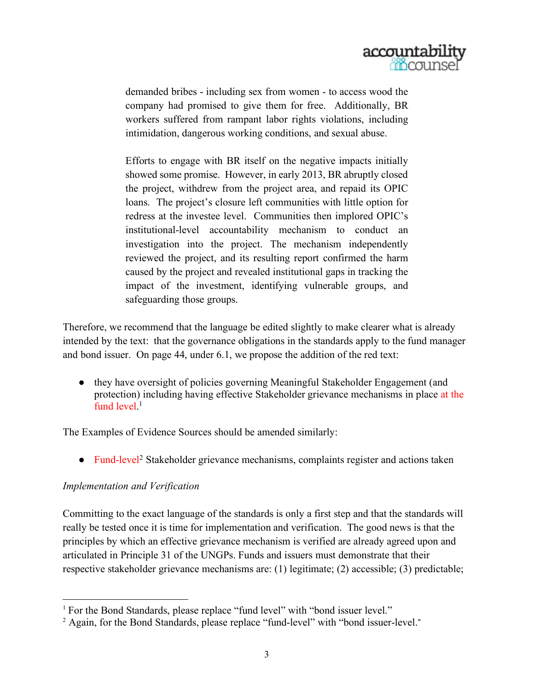

demanded bribes - including sex from women - to access wood the company had promised to give them for free. Additionally, BR workers suffered from rampant labor rights violations, including intimidation, dangerous working conditions, and sexual abuse.

Efforts to engage with BR itself on the negative impacts initially showed some promise. However, in early 2013, BR abruptly closed the project, withdrew from the project area, and repaid its OPIC loans. The project's closure left communities with little option for redress at the investee level. Communities then implored OPIC's institutional-level accountability mechanism to conduct an investigation into the project. The mechanism independently reviewed the project, and its resulting report confirmed the harm caused by the project and revealed institutional gaps in tracking the impact of the investment, identifying vulnerable groups, and safeguarding those groups.

Therefore, we recommend that the language be edited slightly to make clearer what is already intended by the text: that the governance obligations in the standards apply to the fund manager and bond issuer. On page 44, under 6.1, we propose the addition of the red text:

● they have oversight of policies governing Meaningful Stakeholder Engagement (and protection) including having effective Stakeholder grievance mechanisms in place at the fund level.<sup>1</sup>

The Examples of Evidence Sources should be amended similarly:

• Fund-level<sup>2</sup> Stakeholder grievance mechanisms, complaints register and actions taken

## *Implementation and Verification*

Committing to the exact language of the standards is only a first step and that the standards will really be tested once it is time for implementation and verification. The good news is that the principles by which an effective grievance mechanism is verified are already agreed upon and articulated in Principle 31 of the UNGPs. Funds and issuers must demonstrate that their respective stakeholder grievance mechanisms are: (1) legitimate; (2) accessible; (3) predictable;

<sup>1</sup> For the Bond Standards, please replace "fund level" with "bond issuer level."

<sup>&</sup>lt;sup>2</sup> Again, for the Bond Standards, please replace "fund-level" with "bond issuer-level."